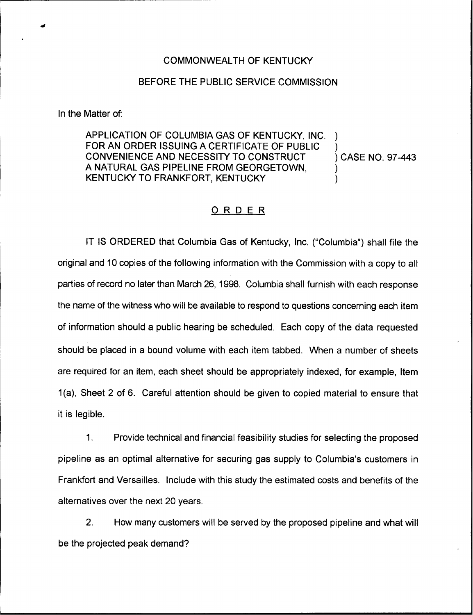## COMMONWEALTH OF KENTUCKY

## BEFORE THE PUBLIC SERVICE COMMISSION

In the Matter of:

APPLICATION OF COLUMBIA GAS OF KENTUCKY, INC. FOR AN ORDER ISSUING A CERTIFICATE OF PUBLIC CONVENIENCE AND NECESSITY TO CONSTRUCT A NATURAL GAS PIPELINE FROM GEORGETOWN, KENTUCKY TO FRANKFORT, KENTUCKY ) ) ) )

) CASE NO. 97-443

## ORDER

IT IS ORDERED that Columbia Gas of Kentucky, Inc. ("Columbia") shall file the original and 10 copies of the following information with the Commission with a copy to all parties of record no later than March 26, 1998. Columbia shall furnish with each response the name of the witness who will be available to respond to questions concerning each item of information should a public hearing be scheduled. Each copy of the data requested should be placed in a bound volume with each item tabbed. When a number of sheets are required for an item, each sheet should be appropriately indexed, for example, Item 1(a), Sheet 2 of 6. Careful attention should be given to copied material to ensure that it is legible.

1. Provide technical and financial feasibility studies for selecting the proposed pipeline as an optimal alternative for securing gas supply to Columbia's customers in Frankfort and Versailles. Include with this study the estimated costs and benefits of the alternatives over the next 20 years.

2. How many customers will be served by the proposed pipeline and what will be the projected peak demand?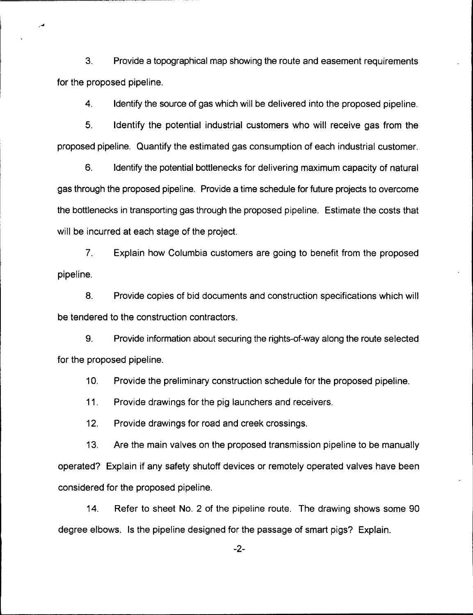3. Provide a topographical map showing the route and easement requirements for the proposed pipeline.

4. Identify the source of gas which will be delivered into the proposed pipeline.

5. Identify the potential industrial customers who will receive gas from the proposed pipeline. Quantify the estimated gas consumption of each industrial customer.

6. Identify the potential bottlenecks for delivering maximum capacity of natural gas through the proposed pipeline. Provide a time schedule for future projects to overcome the bottlenecks in transporting gas through the proposed pipeline. Estimate the costs that will be incurred at each stage of the project.

7. Explain how Columbia customers are going to benefit from the proposed pipeline.

8. Provide copies of bid documents and construction specifications which will be tendered to the construction contractors.

9. Provide information about securing the rights-of-way along the route selected for the proposed pipeline.

10. Provide the preliminary construction schedule for the proposed pipeline.

11. Provide drawings for the pig launchers and receivers.

12. Provide drawings for road and creek crossings.

13. Are the main valves on the proposed transmission pipeline to be manually operated? Explain if any safety shutoff devices or remotely operated valves have been considered for the proposed pipeline.

14. Refer to sheet No. 2 of the pipeline route. The drawing shows some 90 degree elbows. Is the pipeline designed for the passage of smart pigs? Explain.

 $-2-$